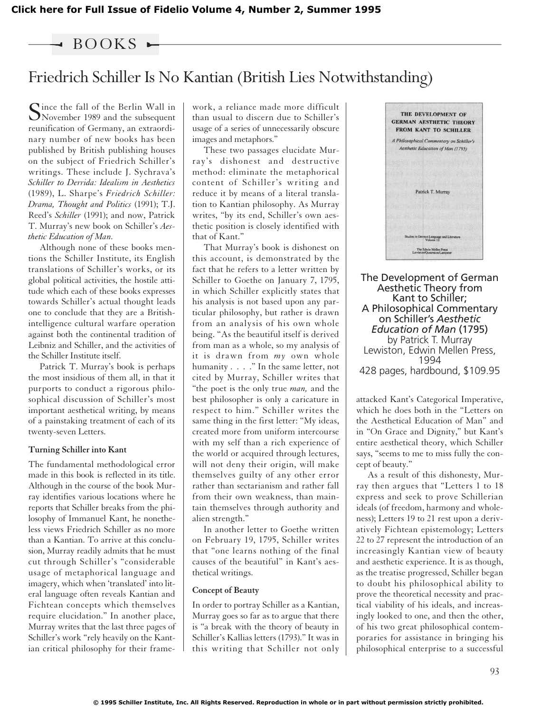### $\triangleleft$  BOOKS  $\blacktriangleright$

## Friedrich Schiller Is No Kantian (British Lies Notwithstanding)

Since the fall of the Berlin Wall in November 1989 and the subsequent reunification of Germany, an extraordinary number of new books has been published by British publishing houses on the subject of Friedrich Schiller's writings. These include J. Sychrava's *Schiller to Derrida: Idealism in Aesthetics* (1989), L. Sharpe's *Friedrich Schiller: Drama, Thought and Politics* (1991); T.J. Reed's *Schiller* (1991); and now, Patrick T. Murray's new book on Schiller's *Aesthetic Education of Man.*

Although none of these books mentions the Schiller Institute, its English translations of Schiller's works, or its global political activities, the hostile attitude which each of these books expresses towards Schiller's actual thought leads one to conclude that they are a Britishintelligence cultural warfare operation against both the continental tradition of Leibniz and Schiller, and the activities of the Schiller Institute itself.

Patrick T. Murray's book is perhaps the most insidious of them all, in that it purports to conduct a rigorous philosophical discussion of Schiller's most important aesthetical writing, by means of a painstaking treatment of each of its twenty-seven Letters.

### **Turning Schiller into Kant**

The fundamental methodological error made in this book is reflected in its title. Although in the course of the book Murray identifies various locations where he reports that Schiller breaks from the philosophy of Immanuel Kant, he nonetheless views Friedrich Schiller as no more than a Kantian. To arrive at this conclusion, Murray readily admits that he must cut through Schiller's "considerable usage of metaphorical language and imagery, which when 'translated' into literal language often reveals Kantian and Fichtean concepts which themselves require elucidation." In another place, Murray writes that the last three pages of Schiller's work "rely heavily on the Kantian critical philosophy for their framework, a reliance made more difficult than usual to discern due to Schiller's usage of a series of unnecessarily obscure images and metaphors."

These two passages elucidate Murray's dishonest and destructive method: eliminate the metaphorical content of Schiller's writing and reduce it by means of a literal translation to Kantian philosophy. As Murray writes, "by its end, Schiller's own aesthetic position is closely identified with that of Kant."

That Murray's book is dishonest on this account, is demonstrated by the fact that he refers to a letter written by Schiller to Goethe on January 7, 1795, in which Schiller explicitly states that his analysis is not based upon any particular philosophy, but rather is drawn from an analysis of his own whole being. "As the beautiful itself is derived from man as a whole, so my analysis of it is drawn from *my* own whole humanity . . . ." In the same letter, not cited by Murray, Schiller writes that "the poet is the only true *man,* and the best philosopher is only a caricature in respect to him." Schiller writes the same thing in the first letter: "My ideas, created more from uniform intercourse with my self than a rich experience of the world or acquired through lectures, will not deny their origin, will make themselves guilty of any other error rather than sectarianism and rather fall from their own weakness, than maintain themselves through authority and alien strength."

In another letter to Goethe written on February 19, 1795, Schiller writes that "one learns nothing of the final causes of the beautiful" in Kant's aesthetical writings.

#### **Concept of Beauty**

In order to portray Schiller as a Kantian, Murray goes so far as to argue that there is "a break with the theory of beauty in Schiller's Kallias letters (1793)." It was in this writing that Schiller not only



The Development of German Aesthetic Theory from Kant to Schiller; A Philosophical Commentary on Schiller's *Aesthetic Education of Man* (1795) by Patrick T. Murray Lewiston, Edwin Mellen Press, 1994 428 pages, hardbound, \$109.95

attacked Kant's Categorical Imperative, which he does both in the "Letters on the Aesthetical Education of Man" and in "On Grace and Dignity," but Kant's entire aesthetical theory, which Schiller says, "seems to me to miss fully the concept of beauty."

As a result of this dishonesty, Murray then argues that "Letters 1 to 18 express and seek to prove Schillerian ideals (of freedom, harmony and wholeness); Letters 19 to 21 rest upon a derivatively Fichtean epistemology; Letters 22 to 27 represent the introduction of an increasingly Kantian view of beauty and aesthetic experience. It is as though, as the treatise progressed, Schiller began to doubt his philosophical ability to prove the theoretical necessity and practical viability of his ideals, and increasingly looked to one, and then the other, of his two great philosophical contemporaries for assistance in bringing his philosophical enterprise to a successful